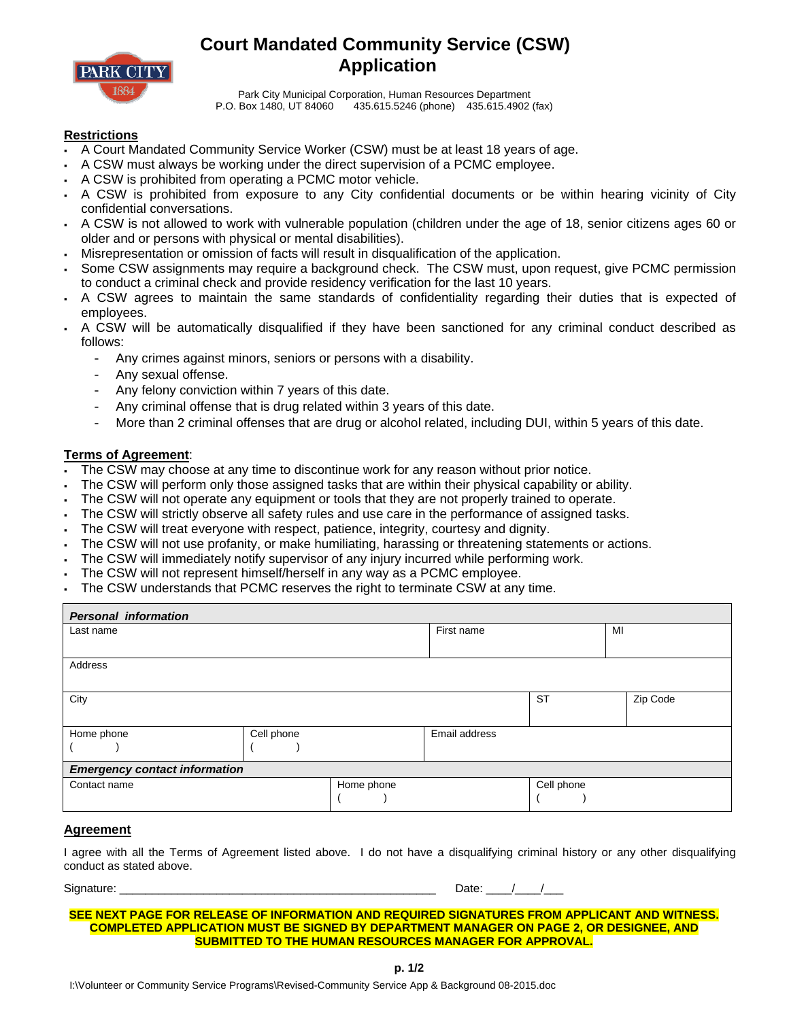

# **Court Mandated Community Service (CSW) Application**

Park City Municipal Corporation, Human Resources Department P.O. Box 1480, UT 84060 435.615.5246 (phone) 435.615.4902 (fax)

### **Restrictions**

- A Court Mandated Community Service Worker (CSW) must be at least 18 years of age.
- A CSW must always be working under the direct supervision of a PCMC employee.
- A CSW is prohibited from operating a PCMC motor vehicle.
- A CSW is prohibited from exposure to any City confidential documents or be within hearing vicinity of City confidential conversations.
- A CSW is not allowed to work with vulnerable population (children under the age of 18, senior citizens ages 60 or older and or persons with physical or mental disabilities).
- Misrepresentation or omission of facts will result in disqualification of the application.
- Some CSW assignments may require a background check. The CSW must, upon request, give PCMC permission to conduct a criminal check and provide residency verification for the last 10 years.
- A CSW agrees to maintain the same standards of confidentiality regarding their duties that is expected of employees.
- A CSW will be automatically disqualified if they have been sanctioned for any criminal conduct described as follows:
	- Any crimes against minors, seniors or persons with a disability.
	- Any sexual offense.
	- Any felony conviction within 7 years of this date.
	- Any criminal offense that is drug related within 3 years of this date.
	- More than 2 criminal offenses that are drug or alcohol related, including DUI, within 5 years of this date.

#### **Terms of Agreement**:

- The CSW may choose at any time to discontinue work for any reason without prior notice.
- The CSW will perform only those assigned tasks that are within their physical capability or ability.
- The CSW will not operate any equipment or tools that they are not properly trained to operate.
- The CSW will strictly observe all safety rules and use care in the performance of assigned tasks.
- The CSW will treat everyone with respect, patience, integrity, courtesy and dignity.
- The CSW will not use profanity, or make humiliating, harassing or threatening statements or actions.
- The CSW will immediately notify supervisor of any injury incurred while performing work.
- The CSW will not represent himself/herself in any way as a PCMC employee.
- The CSW understands that PCMC reserves the right to terminate CSW at any time.

| <b>Personal information</b>          |            |            |               |            |          |  |  |  |
|--------------------------------------|------------|------------|---------------|------------|----------|--|--|--|
| Last name                            |            | First name |               | MI         |          |  |  |  |
|                                      |            |            |               |            |          |  |  |  |
| Address                              |            |            |               |            |          |  |  |  |
|                                      |            |            |               |            |          |  |  |  |
| City                                 |            |            |               | <b>ST</b>  | Zip Code |  |  |  |
|                                      |            |            |               |            |          |  |  |  |
| Home phone                           | Cell phone |            | Email address |            |          |  |  |  |
|                                      |            |            |               |            |          |  |  |  |
| <b>Emergency contact information</b> |            |            |               |            |          |  |  |  |
| Contact name                         |            | Home phone |               | Cell phone |          |  |  |  |
|                                      |            |            |               |            |          |  |  |  |

#### **Agreement**

I agree with all the Terms of Agreement listed above. I do not have a disqualifying criminal history or any other disqualifying conduct as stated above.

Signature: \_\_\_\_\_\_\_\_\_\_\_\_\_\_\_\_\_\_\_\_\_\_\_\_\_\_\_\_\_\_\_\_\_\_\_\_\_\_\_\_\_\_\_\_\_\_\_\_\_ Date: \_\_\_\_/\_\_\_\_/\_\_\_

#### **SEE NEXT PAGE FOR RELEASE OF INFORMATION AND REQUIRED SIGNATURES FROM APPLICANT AND WITNESS. COMPLETED APPLICATION MUST BE SIGNED BY DEPARTMENT MANAGER ON PAGE 2, OR DESIGNEE, AND SUBMITTED TO THE HUMAN RESOURCES MANAGER FOR APPROVAL.**